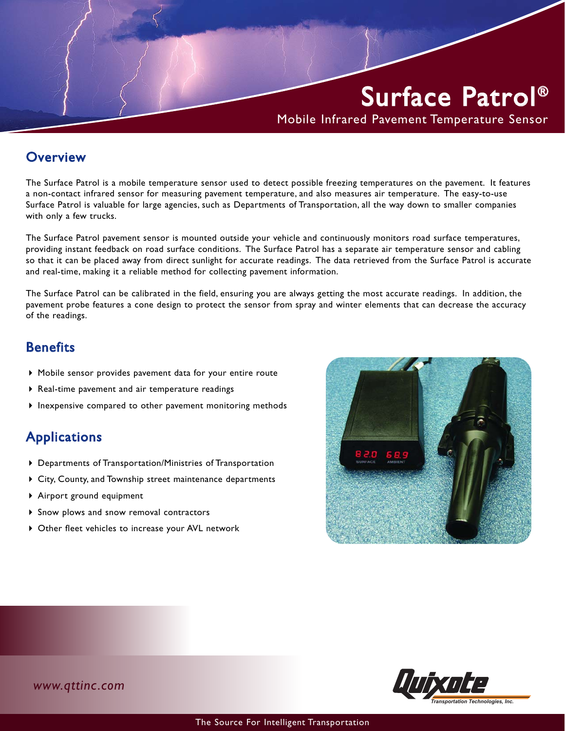# Surface Patrol ®

Mobile Infrared Pavement Temperature Sensor

#### **Overview**

The Surface Patrol is a mobile temperature sensor used to detect possible freezing temperatures on the pavement. It features a non-contact infrared sensor for measuring pavement temperature, and also measures air temperature. The easy-to-use Surface Patrol is valuable for large agencies, such as Departments of Transportation, all the way down to smaller companies with only a few trucks.

The Surface Patrol pavement sensor is mounted outside your vehicle and continuously monitors road surface temperatures, providing instant feedback on road surface conditions. The Surface Patrol has a separate air temperature sensor and cabling so that it can be placed away from direct sunlight for accurate readings. The data retrieved from the Surface Patrol is accurate and real-time, making it a reliable method for collecting pavement information.

The Surface Patrol can be calibrated in the field, ensuring you are always getting the most accurate readings. In addition, the pavement probe features a cone design to protect the sensor from spray and winter elements that can decrease the accuracy of the readings.

### **Benefits**

- Mobile sensor provides pavement data for your entire route
- Real-time pavement and air temperature readings
- $\blacktriangleright$  lnexpensive compared to other pavement monitoring methods

# Applications

- Departments of Transportation/Ministries of Transportation
- City, County, and Township street maintenance departments
- Airport ground equipment
- Snow plows and snow removal contractors
- Other fleet vehicles to increase your AVL network